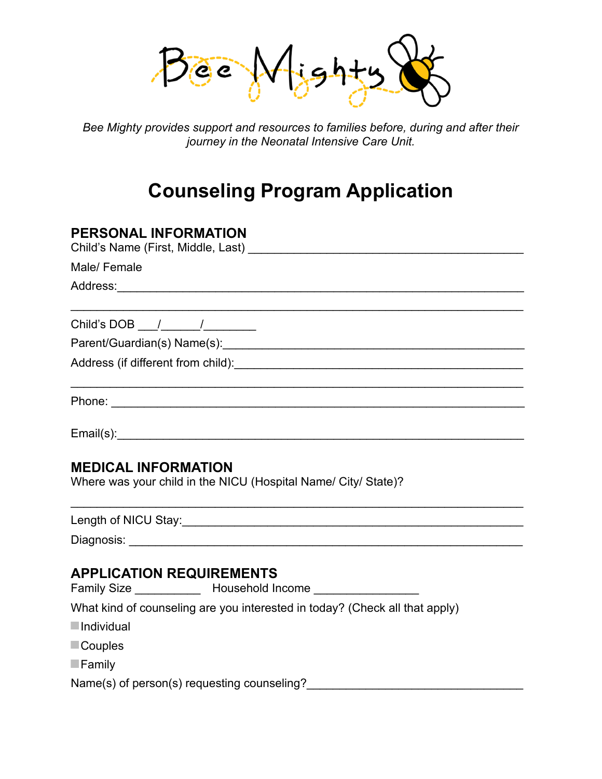$Bee$ 

*Bee Mighty provides support and resources to families before, during and after their journey in the Neonatal Intensive Care Unit.* 

## **Counseling Program Application**

| <b>PERSONAL INFORMATION</b>                                                                              |
|----------------------------------------------------------------------------------------------------------|
| Male/Female                                                                                              |
|                                                                                                          |
| Child's DOB $\frac{1}{\sqrt{2}}$                                                                         |
|                                                                                                          |
|                                                                                                          |
|                                                                                                          |
|                                                                                                          |
| <b>MEDICAL INFORMATION</b><br>Where was your child in the NICU (Hospital Name/ City/ State)?             |
|                                                                                                          |
|                                                                                                          |
| <b>APPLICATION REQUIREMENTS</b><br>Family Size _____________ Household Income _________________          |
| What kind of counseling are you interested in today? (Check all that apply)<br>$\blacksquare$ Individual |
|                                                                                                          |
| $\Box$ Couples                                                                                           |

**Family** 

Name(s) of person(s) requesting counseling?<br>